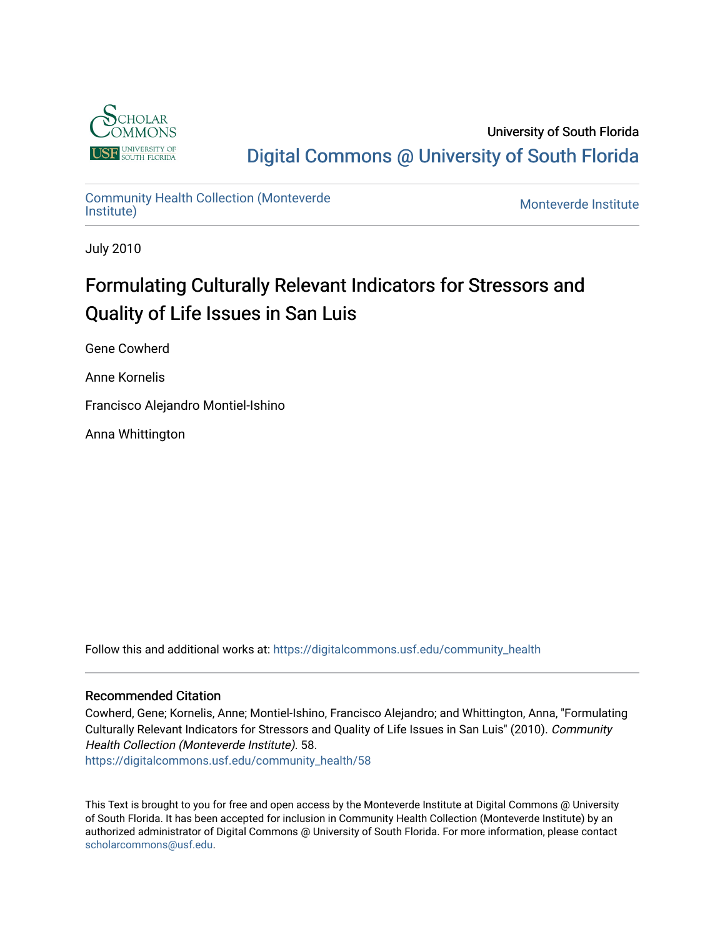

University of South Florida [Digital Commons @ University of South Florida](https://digitalcommons.usf.edu/) 

## [Community Health Collection \(Monteverde](https://digitalcommons.usf.edu/community_health) Community Health Collection (Monteverde)<br>[Institute\)](https://digitalcommons.usf.edu/community_health) Monteverde Institute

July 2010

# Formulating Culturally Relevant Indicators for Stressors and Quality of Life Issues in San Luis

Gene Cowherd

Anne Kornelis

Francisco Alejandro Montiel-Ishino

Anna Whittington

Follow this and additional works at: [https://digitalcommons.usf.edu/community\\_health](https://digitalcommons.usf.edu/community_health?utm_source=digitalcommons.usf.edu%2Fcommunity_health%2F58&utm_medium=PDF&utm_campaign=PDFCoverPages) 

## Recommended Citation

Cowherd, Gene; Kornelis, Anne; Montiel-Ishino, Francisco Alejandro; and Whittington, Anna, "Formulating Culturally Relevant Indicators for Stressors and Quality of Life Issues in San Luis" (2010). Community Health Collection (Monteverde Institute). 58. [https://digitalcommons.usf.edu/community\\_health/58](https://digitalcommons.usf.edu/community_health/58?utm_source=digitalcommons.usf.edu%2Fcommunity_health%2F58&utm_medium=PDF&utm_campaign=PDFCoverPages) 

This Text is brought to you for free and open access by the Monteverde Institute at Digital Commons @ University of South Florida. It has been accepted for inclusion in Community Health Collection (Monteverde Institute) by an authorized administrator of Digital Commons @ University of South Florida. For more information, please contact [scholarcommons@usf.edu.](mailto:scholarcommons@usf.edu)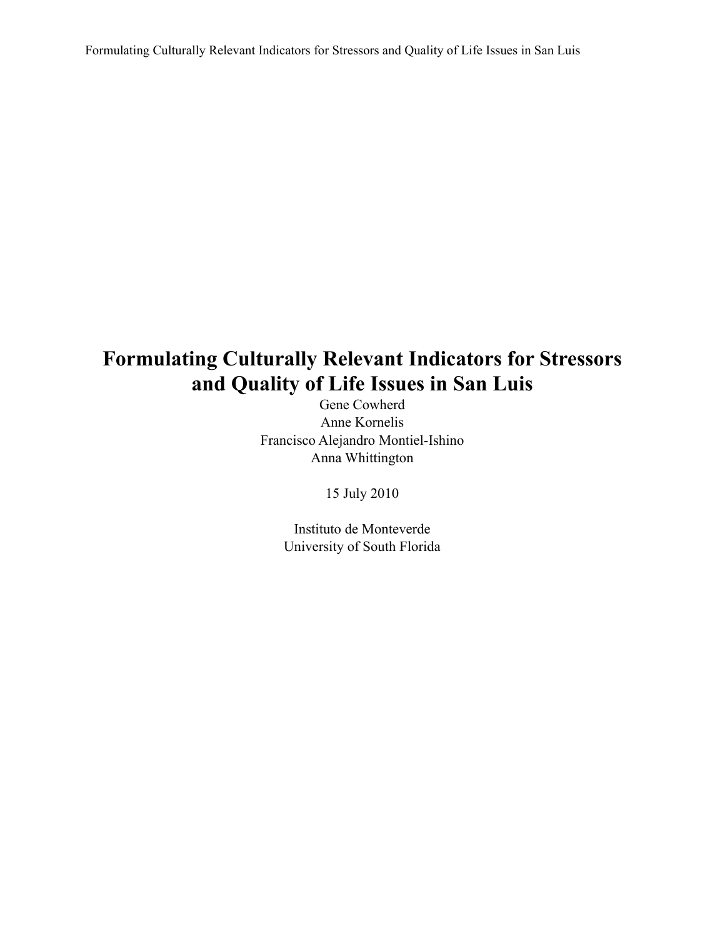Formulating Culturally Relevant Indicators for Stressors and Quality of Life Issues in San Luis

## **Formulating Culturally Relevant Indicators for Stressors and Quality of Life Issues in San Luis**

Gene Cowherd Anne Kornelis Francisco Alejandro Montiel-Ishino Anna Whittington

15 July 2010

Instituto de Monteverde University of South Florida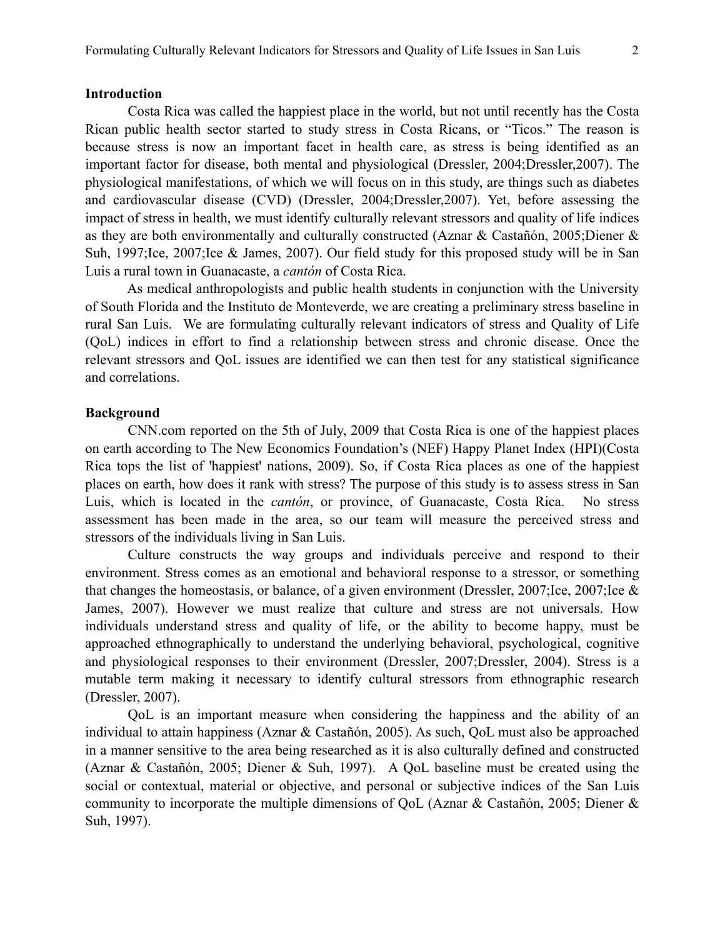## **Introduction**

 Costa Rica was called the happiest place in the world, but not until recently has the Costa Rican public health sector started to study stress in Costa Ricans, or "Ticos." The reason is because stress is now an important facet in health care, as stress is being identified as an important factor for disease, both mental and physiological (Dressler, 2004;Dressler,2007). The physiological manifestations, of which we will focus on in this study, are things such as diabetes and cardiovascular disease (CVD) (Dressler, 2004;Dressler,2007). Yet, before assessing the impact of stress in health, we must identify culturally relevant stressors and quality of life indices as they are both environmentally and culturally constructed (Aznar & Castañón, 2005;Diener & Suh, 1997;Ice, 2007;Ice & James, 2007). Our field study for this proposed study will be in San Luis a rural town in Guanacaste, a *cantón* of Costa Rica.

 As medical anthropologists and public health students in conjunction with the University of South Florida and the Instituto de Monteverde, we are creating a preliminary stress baseline in rural San Luis. We are formulating culturally relevant indicators of stress and Quality of Life (QoL) indices in effort to find a relationship between stress and chronic disease. Once the relevant stressors and QoL issues are identified we can then test for any statistical significance and correlations.

#### **Background**

 CNN.com reported on the 5th of July, 2009 that Costa Rica is one of the happiest places on earth according to The New Economics Foundation's (NEF) Happy Planet Index (HPI)(Costa Rica tops the list of 'happiest' nations, 2009). So, if Costa Rica places as one of the happiest places on earth, how does it rank with stress? The purpose of this study is to assess stress in San Luis, which is located in the *cantón*, or province, of Guanacaste, Costa Rica. No stress assessment has been made in the area, so our team will measure the perceived stress and stressors of the individuals living in San Luis.

 Culture constructs the way groups and individuals perceive and respond to their environment. Stress comes as an emotional and behavioral response to a stressor, or something that changes the homeostasis, or balance, of a given environment (Dressler, 2007;Ice, 2007;Ice & James, 2007). However we must realize that culture and stress are not universals. How individuals understand stress and quality of life, or the ability to become happy, must be approached ethnographically to understand the underlying behavioral, psychological, cognitive and physiological responses to their environment (Dressler, 2007;Dressler, 2004). Stress is a mutable term making it necessary to identify cultural stressors from ethnographic research (Dressler, 2007).

 QoL is an important measure when considering the happiness and the ability of an individual to attain happiness (Aznar & Castañón, 2005). As such, QoL must also be approached in a manner sensitive to the area being researched as it is also culturally defined and constructed (Aznar & Castañón, 2005; Diener & Suh, 1997). A QoL baseline must be created using the social or contextual, material or objective, and personal or subjective indices of the San Luis community to incorporate the multiple dimensions of QoL (Aznar & Castañón, 2005; Diener & Suh, 1997).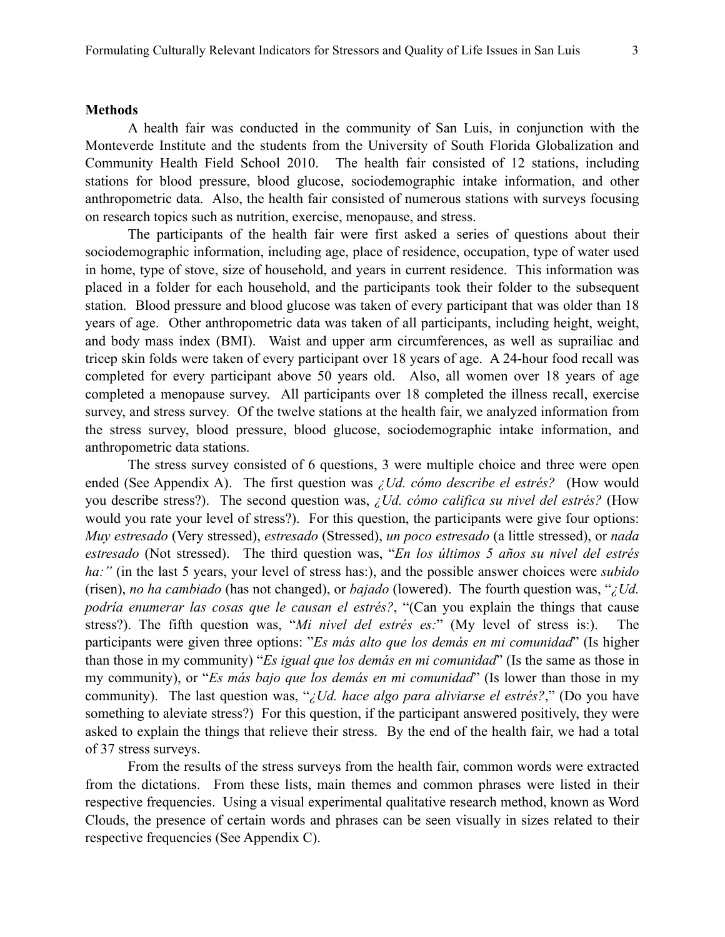#### **Methods**

A health fair was conducted in the community of San Luis, in conjunction with the Monteverde Institute and the students from the University of South Florida Globalization and Community Health Field School 2010. The health fair consisted of 12 stations, including stations for blood pressure, blood glucose, sociodemographic intake information, and other anthropometric data. Also, the health fair consisted of numerous stations with surveys focusing on research topics such as nutrition, exercise, menopause, and stress.

The participants of the health fair were first asked a series of questions about their sociodemographic information, including age, place of residence, occupation, type of water used in home, type of stove, size of household, and years in current residence. This information was placed in a folder for each household, and the participants took their folder to the subsequent station. Blood pressure and blood glucose was taken of every participant that was older than 18 years of age. Other anthropometric data was taken of all participants, including height, weight, and body mass index (BMI). Waist and upper arm circumferences, as well as suprailiac and tricep skin folds were taken of every participant over 18 years of age. A 24-hour food recall was completed for every participant above 50 years old. Also, all women over 18 years of age completed a menopause survey. All participants over 18 completed the illness recall, exercise survey, and stress survey. Of the twelve stations at the health fair, we analyzed information from the stress survey, blood pressure, blood glucose, sociodemographic intake information, and anthropometric data stations.

The stress survey consisted of 6 questions, 3 were multiple choice and three were open ended (See Appendix A). The first question was *¿Ud. cómo describe el estrés?* (How would you describe stress?). The second question was, *¿Ud. cómo califica su nivel del estrés?* (How would you rate your level of stress?). For this question, the participants were give four options: *Muy estresado* (Very stressed), *estresado* (Stressed), *un poco estresado* (a little stressed), or *nada estresado* (Not stressed). The third question was, "*En los últimos 5 años su nivel del estrés ha:"* (in the last 5 years, your level of stress has:), and the possible answer choices were *subido* (risen), *no ha cambiado* (has not changed), or *bajado* (lowered). The fourth question was, "*¿Ud. podría enumerar las cosas que le causan el estrés?*, "(Can you explain the things that cause stress?). The fifth question was, "*Mi nivel del estrés es:*" (My level of stress is:). The participants were given three options: "*Es más alto que los demás en mi comunidad*" (Is higher than those in my community) "*Es igual que los demás en mi comunidad*" (Is the same as those in my community), or "*Es más bajo que los demás en mi comunidad*" (Is lower than those in my community). The last question was, "*¿Ud. hace algo para aliviarse el estrés?*," (Do you have something to aleviate stress?) For this question, if the participant answered positively, they were asked to explain the things that relieve their stress. By the end of the health fair, we had a total of 37 stress surveys.

From the results of the stress surveys from the health fair, common words were extracted from the dictations. From these lists, main themes and common phrases were listed in their respective frequencies. Using a visual experimental qualitative research method, known as Word Clouds, the presence of certain words and phrases can be seen visually in sizes related to their respective frequencies (See Appendix C).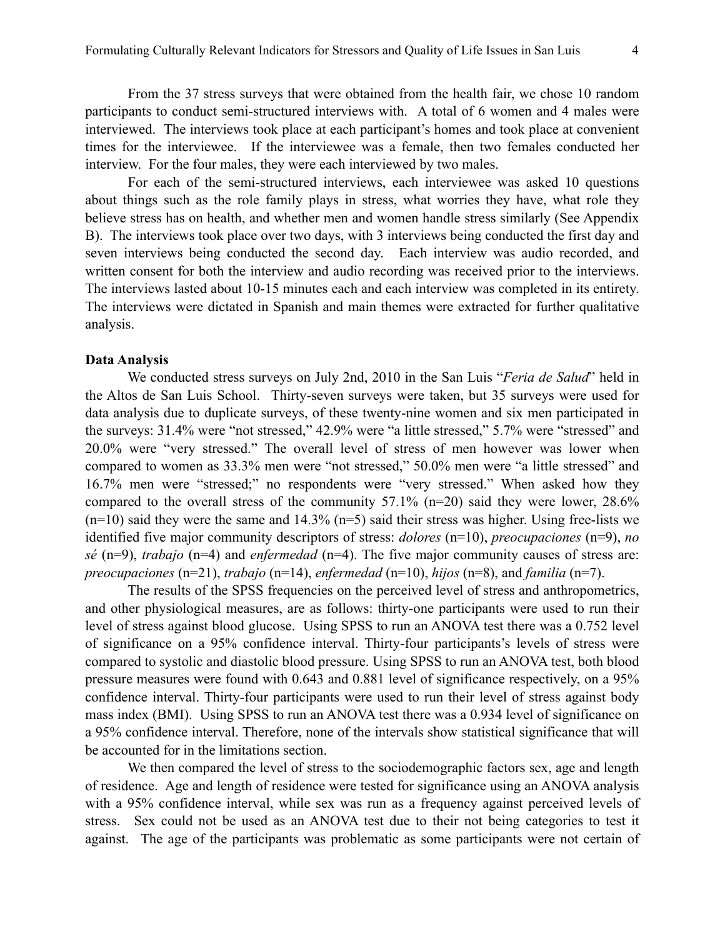From the 37 stress surveys that were obtained from the health fair, we chose 10 random participants to conduct semi-structured interviews with. A total of 6 women and 4 males were interviewed. The interviews took place at each participant's homes and took place at convenient times for the interviewee. If the interviewee was a female, then two females conducted her interview. For the four males, they were each interviewed by two males.

For each of the semi-structured interviews, each interviewee was asked 10 questions about things such as the role family plays in stress, what worries they have, what role they believe stress has on health, and whether men and women handle stress similarly (See Appendix B). The interviews took place over two days, with 3 interviews being conducted the first day and seven interviews being conducted the second day. Each interview was audio recorded, and written consent for both the interview and audio recording was received prior to the interviews. The interviews lasted about 10-15 minutes each and each interview was completed in its entirety. The interviews were dictated in Spanish and main themes were extracted for further qualitative analysis.

#### **Data Analysis**

 We conducted stress surveys on July 2nd, 2010 in the San Luis "*Feria de Salud*" held in the Altos de San Luis School. Thirty-seven surveys were taken, but 35 surveys were used for data analysis due to duplicate surveys, of these twenty-nine women and six men participated in the surveys: 31.4% were "not stressed," 42.9% were "a little stressed," 5.7% were "stressed" and 20.0% were "very stressed." The overall level of stress of men however was lower when compared to women as 33.3% men were "not stressed," 50.0% men were "a little stressed" and 16.7% men were "stressed;" no respondents were "very stressed." When asked how they compared to the overall stress of the community  $57.1\%$  (n=20) said they were lower,  $28.6\%$  $(n=10)$  said they were the same and 14.3%  $(n=5)$  said their stress was higher. Using free-lists we identified five major community descriptors of stress: *dolores* (n=10), *preocupaciones* (n=9), *no sé* (n=9), *trabajo* (n=4) and *enfermedad* (n=4). The five major community causes of stress are: *preocupaciones* (n=21), *trabajo* (n=14), *enfermedad* (n=10), *hijos* (n=8), and *familia* (n=7).

 The results of the SPSS frequencies on the perceived level of stress and anthropometrics, and other physiological measures, are as follows: thirty-one participants were used to run their level of stress against blood glucose. Using SPSS to run an ANOVA test there was a 0.752 level of significance on a 95% confidence interval. Thirty-four participants's levels of stress were compared to systolic and diastolic blood pressure. Using SPSS to run an ANOVA test, both blood pressure measures were found with 0.643 and 0.881 level of significance respectively, on a 95% confidence interval. Thirty-four participants were used to run their level of stress against body mass index (BMI). Using SPSS to run an ANOVA test there was a 0.934 level of significance on a 95% confidence interval. Therefore, none of the intervals show statistical significance that will be accounted for in the limitations section.

We then compared the level of stress to the sociodemographic factors sex, age and length of residence. Age and length of residence were tested for significance using an ANOVA analysis with a 95% confidence interval, while sex was run as a frequency against perceived levels of stress. Sex could not be used as an ANOVA test due to their not being categories to test it against. The age of the participants was problematic as some participants were not certain of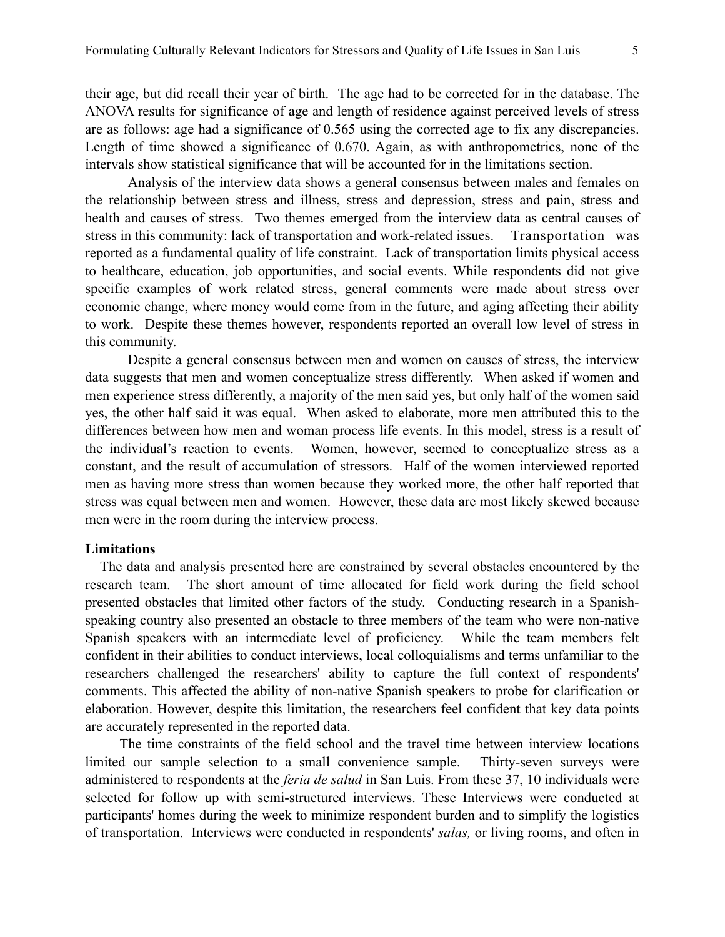their age, but did recall their year of birth. The age had to be corrected for in the database. The ANOVA results for significance of age and length of residence against perceived levels of stress are as follows: age had a significance of 0.565 using the corrected age to fix any discrepancies. Length of time showed a significance of 0.670. Again, as with anthropometrics, none of the intervals show statistical significance that will be accounted for in the limitations section.

Analysis of the interview data shows a general consensus between males and females on the relationship between stress and illness, stress and depression, stress and pain, stress and health and causes of stress. Two themes emerged from the interview data as central causes of stress in this community: lack of transportation and work-related issues. Transportation was reported as a fundamental quality of life constraint. Lack of transportation limits physical access to healthcare, education, job opportunities, and social events. While respondents did not give specific examples of work related stress, general comments were made about stress over economic change, where money would come from in the future, and aging affecting their ability to work. Despite these themes however, respondents reported an overall low level of stress in this community.

 Despite a general consensus between men and women on causes of stress, the interview data suggests that men and women conceptualize stress differently. When asked if women and men experience stress differently, a majority of the men said yes, but only half of the women said yes, the other half said it was equal. When asked to elaborate, more men attributed this to the differences between how men and woman process life events. In this model, stress is a result of the individual's reaction to events. Women, however, seemed to conceptualize stress as a constant, and the result of accumulation of stressors. Half of the women interviewed reported men as having more stress than women because they worked more, the other half reported that stress was equal between men and women. However, these data are most likely skewed because men were in the room during the interview process.

#### **Limitations**

 The data and analysis presented here are constrained by several obstacles encountered by the research team. The short amount of time allocated for field work during the field school presented obstacles that limited other factors of the study. Conducting research in a Spanishspeaking country also presented an obstacle to three members of the team who were non-native Spanish speakers with an intermediate level of proficiency. While the team members felt confident in their abilities to conduct interviews, local colloquialisms and terms unfamiliar to the researchers challenged the researchers' ability to capture the full context of respondents' comments. This affected the ability of non-native Spanish speakers to probe for clarification or elaboration. However, despite this limitation, the researchers feel confident that key data points are accurately represented in the reported data.

 The time constraints of the field school and the travel time between interview locations limited our sample selection to a small convenience sample. Thirty-seven surveys were administered to respondents at the *feria de salud* in San Luis. From these 37, 10 individuals were selected for follow up with semi-structured interviews. These Interviews were conducted at participants' homes during the week to minimize respondent burden and to simplify the logistics of transportation. Interviews were conducted in respondents' *salas,* or living rooms, and often in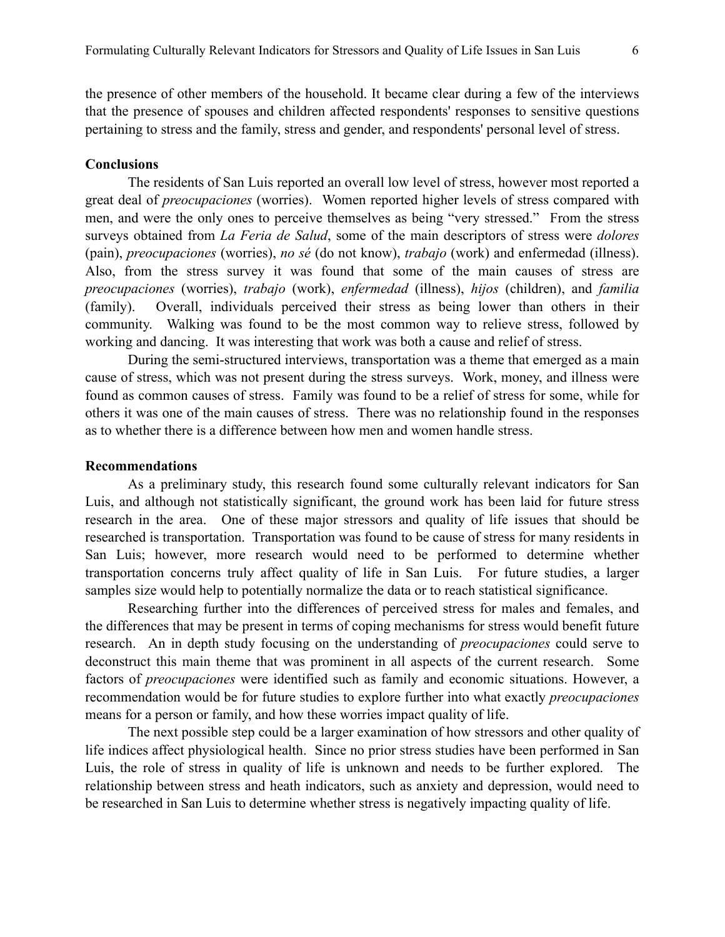the presence of other members of the household. It became clear during a few of the interviews that the presence of spouses and children affected respondents' responses to sensitive questions pertaining to stress and the family, stress and gender, and respondents' personal level of stress.

## **Conclusions**

The residents of San Luis reported an overall low level of stress, however most reported a great deal of *preocupaciones* (worries). Women reported higher levels of stress compared with men, and were the only ones to perceive themselves as being "very stressed." From the stress surveys obtained from *La Feria de Salud*, some of the main descriptors of stress were *dolores*  (pain), *preocupaciones* (worries), *no sé* (do not know), *trabajo* (work) and enfermedad (illness). Also, from the stress survey it was found that some of the main causes of stress are *preocupaciones* (worries), *trabajo* (work), *enfermedad* (illness), *hijos* (children), and *familia*  (family). Overall, individuals perceived their stress as being lower than others in their community. Walking was found to be the most common way to relieve stress, followed by working and dancing. It was interesting that work was both a cause and relief of stress.

During the semi-structured interviews, transportation was a theme that emerged as a main cause of stress, which was not present during the stress surveys. Work, money, and illness were found as common causes of stress. Family was found to be a relief of stress for some, while for others it was one of the main causes of stress. There was no relationship found in the responses as to whether there is a difference between how men and women handle stress.

#### **Recommendations**

As a preliminary study, this research found some culturally relevant indicators for San Luis, and although not statistically significant, the ground work has been laid for future stress research in the area. One of these major stressors and quality of life issues that should be researched is transportation. Transportation was found to be cause of stress for many residents in San Luis; however, more research would need to be performed to determine whether transportation concerns truly affect quality of life in San Luis. For future studies, a larger samples size would help to potentially normalize the data or to reach statistical significance.

Researching further into the differences of perceived stress for males and females, and the differences that may be present in terms of coping mechanisms for stress would benefit future research. An in depth study focusing on the understanding of *preocupaciones* could serve to deconstruct this main theme that was prominent in all aspects of the current research. Some factors of *preocupaciones* were identified such as family and economic situations. However, a recommendation would be for future studies to explore further into what exactly *preocupaciones*  means for a person or family, and how these worries impact quality of life.

The next possible step could be a larger examination of how stressors and other quality of life indices affect physiological health. Since no prior stress studies have been performed in San Luis, the role of stress in quality of life is unknown and needs to be further explored. The relationship between stress and heath indicators, such as anxiety and depression, would need to be researched in San Luis to determine whether stress is negatively impacting quality of life.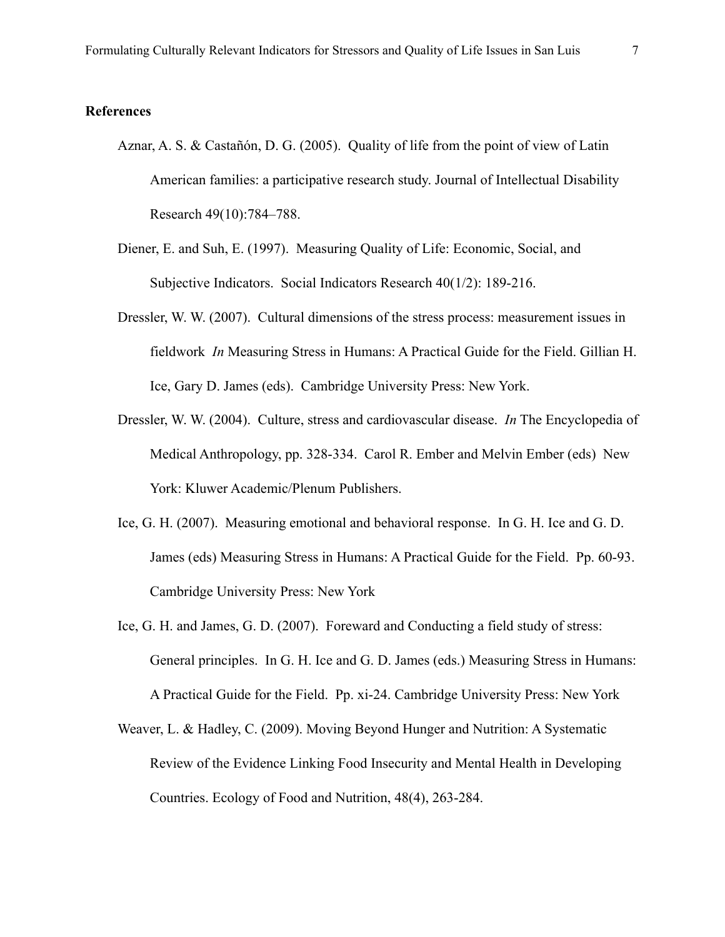#### **References**

- Aznar, A. S. & Castañón, D. G. (2005). Quality of life from the point of view of Latin American families: a participative research study. Journal of Intellectual Disability Research 49(10):784–788.
- Diener, E. and Suh, E. (1997). Measuring Quality of Life: Economic, Social, and Subjective Indicators. Social Indicators Research 40(1/2): 189-216.
- Dressler, W. W. (2007). Cultural dimensions of the stress process: measurement issues in fieldwork *In* Measuring Stress in Humans: A Practical Guide for the Field. Gillian H. Ice, Gary D. James (eds). Cambridge University Press: New York.
- Dressler, W. W. (2004). Culture, stress and cardiovascular disease. *In* The Encyclopedia of Medical Anthropology, pp. 328-334. Carol R. Ember and Melvin Ember (eds) New York: Kluwer Academic/Plenum Publishers.
- Ice, G. H. (2007). Measuring emotional and behavioral response. In G. H. Ice and G. D. James (eds) Measuring Stress in Humans: A Practical Guide for the Field. Pp. 60-93. Cambridge University Press: New York
- Ice, G. H. and James, G. D. (2007). Foreward and Conducting a field study of stress: General principles. In G. H. Ice and G. D. James (eds.) Measuring Stress in Humans: A Practical Guide for the Field. Pp. xi-24. Cambridge University Press: New York
- Weaver, L. & Hadley, C. (2009). Moving Beyond Hunger and Nutrition: A Systematic Review of the Evidence Linking Food Insecurity and Mental Health in Developing Countries. Ecology of Food and Nutrition, 48(4), 263-284.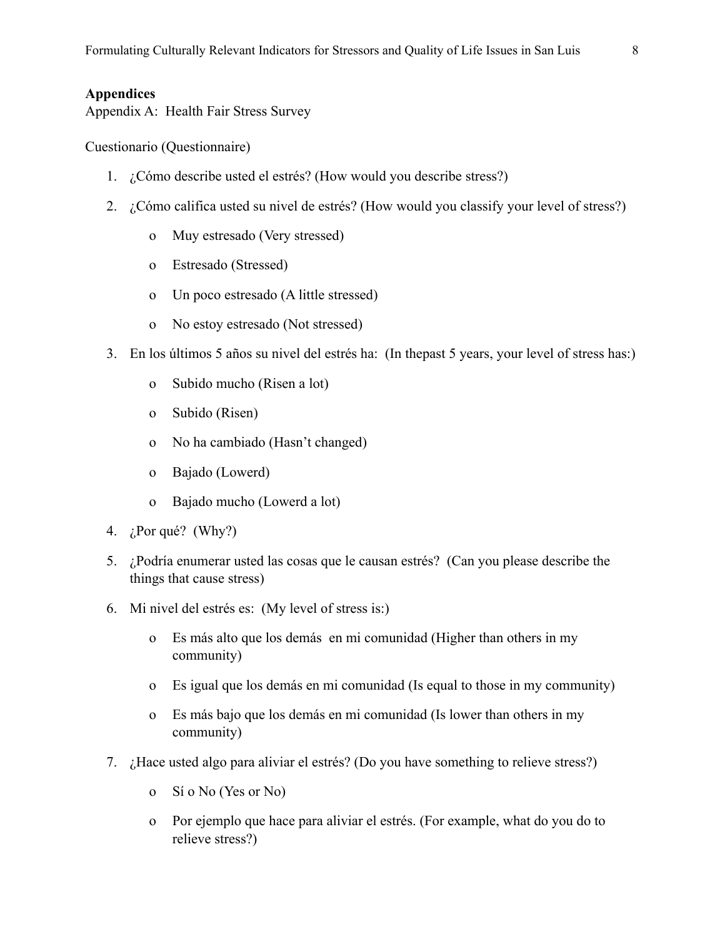## **Appendices**

Appendix A: Health Fair Stress Survey

Cuestionario (Questionnaire)

- 1. ¿Cómo describe usted el estrés? (How would you describe stress?)
- 2. ¿Cómo califica usted su nivel de estrés? (How would you classify your level of stress?)
	- o Muy estresado (Very stressed)
	- o Estresado (Stressed)
	- o Un poco estresado (A little stressed)
	- o No estoy estresado (Not stressed)
- 3. En los últimos 5 años su nivel del estrés ha: (In thepast 5 years, your level of stress has:)
	- o Subido mucho (Risen a lot)
	- o Subido (Risen)
	- o No ha cambiado (Hasn't changed)
	- o Bajado (Lowerd)
	- o Bajado mucho (Lowerd a lot)
- 4. ¿Por qué? (Why?)
- 5. ¿Podría enumerar usted las cosas que le causan estrés? (Can you please describe the things that cause stress)
- 6. Mi nivel del estrés es: (My level of stress is:)
	- o Es más alto que los demás en mi comunidad (Higher than others in my community)
	- o Es igual que los demás en mi comunidad (Is equal to those in my community)
	- o Es más bajo que los demás en mi comunidad (Is lower than others in my community)
- 7. ¿Hace usted algo para aliviar el estrés? (Do you have something to relieve stress?)
	- o Sí o No (Yes or No)
	- o Por ejemplo que hace para aliviar el estrés. (For example, what do you do to relieve stress?)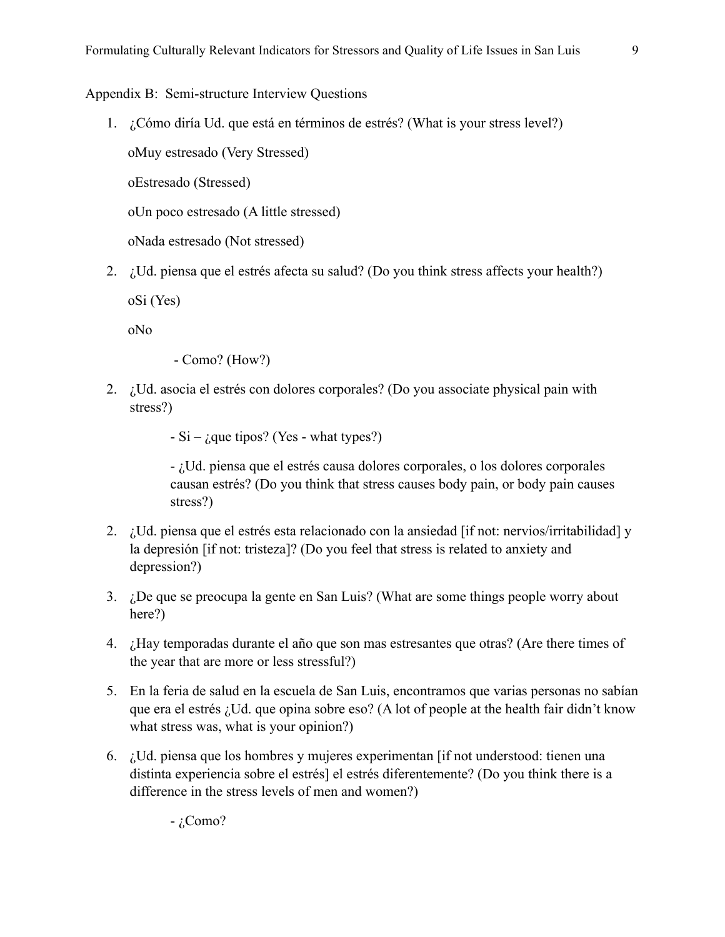## Appendix B: Semi-structure Interview Questions

1. ¿Cómo diría Ud. que está en términos de estrés? (What is your stress level?)

oMuy estresado (Very Stressed)

oEstresado (Stressed)

oUn poco estresado (A little stressed)

oNada estresado (Not stressed)

2. ¿Ud. piensa que el estrés afecta su salud? (Do you think stress affects your health?)

oSi (Yes)

oNo

- Como? (How?)

2. ¿Ud. asocia el estrés con dolores corporales? (Do you associate physical pain with stress?)

 $-Si - i$ que tipos? (Yes - what types?)

- ¿Ud. piensa que el estrés causa dolores corporales, o los dolores corporales causan estrés? (Do you think that stress causes body pain, or body pain causes stress?)

- 2. ¿Ud. piensa que el estrés esta relacionado con la ansiedad [if not: nervios/irritabilidad] y la depresión [if not: tristeza]? (Do you feel that stress is related to anxiety and depression?)
- 3. ¿De que se preocupa la gente en San Luis? (What are some things people worry about here?)
- 4. ¿Hay temporadas durante el año que son mas estresantes que otras? (Are there times of the year that are more or less stressful?)
- 5. En la feria de salud en la escuela de San Luis, encontramos que varias personas no sabían que era el estrés ¿Ud. que opina sobre eso? (A lot of people at the health fair didn't know what stress was, what is your opinion?)
- 6. ¿Ud. piensa que los hombres y mujeres experimentan [if not understood: tienen una distinta experiencia sobre el estrés] el estrés diferentemente? (Do you think there is a difference in the stress levels of men and women?)

 $-i$ Como?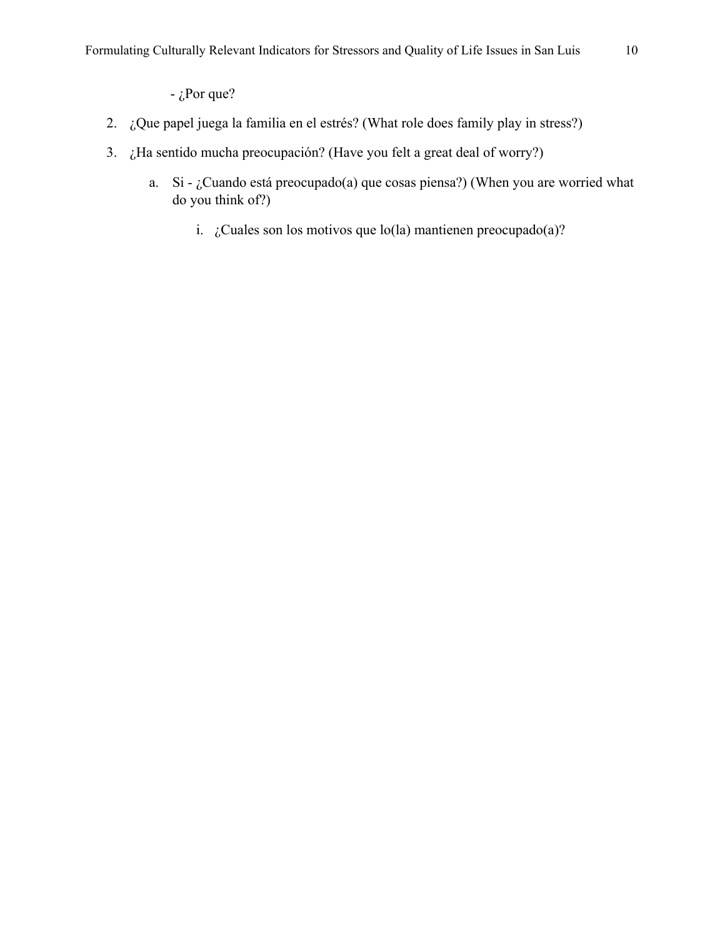$-i$ Por que?

- 2. ¿Que papel juega la familia en el estrés? (What role does family play in stress?)
- 3. ¿Ha sentido mucha preocupación? (Have you felt a great deal of worry?)
	- a. Si ¿Cuando está preocupado(a) que cosas piensa?) (When you are worried what do you think of?)
		- i.  $i$ . Cuales son los motivos que lo(la) mantienen preocupado(a)?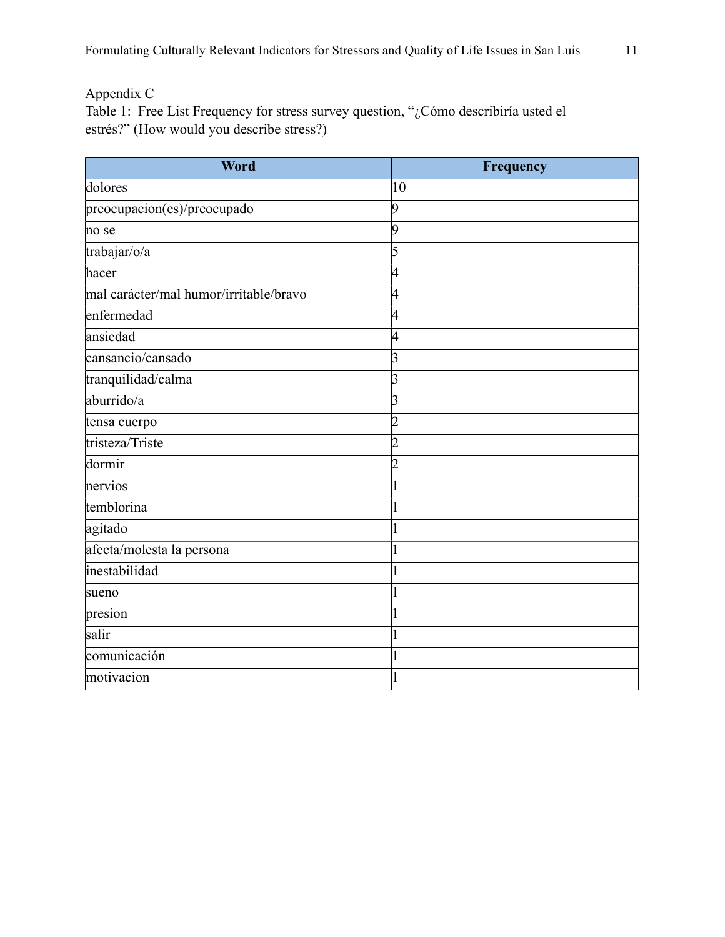Appendix C

Table 1: Free List Frequency for stress survey question, "¿Cómo describiría usted el estrés?" (How would you describe stress?)

| Word                                   | Frequency      |
|----------------------------------------|----------------|
| dolores                                | 10             |
| preocupacion(es)/preocupado            | 19             |
| no se                                  | 9              |
| trabajar/o/a                           | 5              |
| hacer                                  | 4              |
| mal carácter/mal humor/irritable/bravo | 4              |
| enfermedad                             | 4              |
| ansiedad                               | 4              |
| cansancio/cansado                      | 3              |
| tranquilidad/calma                     | 3              |
| aburrido/a                             | 3              |
| tensa cuerpo                           | $\overline{2}$ |
| tristeza/Triste                        | $\overline{2}$ |
| dormir                                 | $\overline{2}$ |
| nervios                                |                |
| temblorina                             |                |
| agitado                                |                |
| afecta/molesta la persona              |                |
| inestabilidad                          |                |
| sueno                                  |                |
| presion                                |                |
| salir                                  |                |
| comunicación                           |                |
| motivacion                             |                |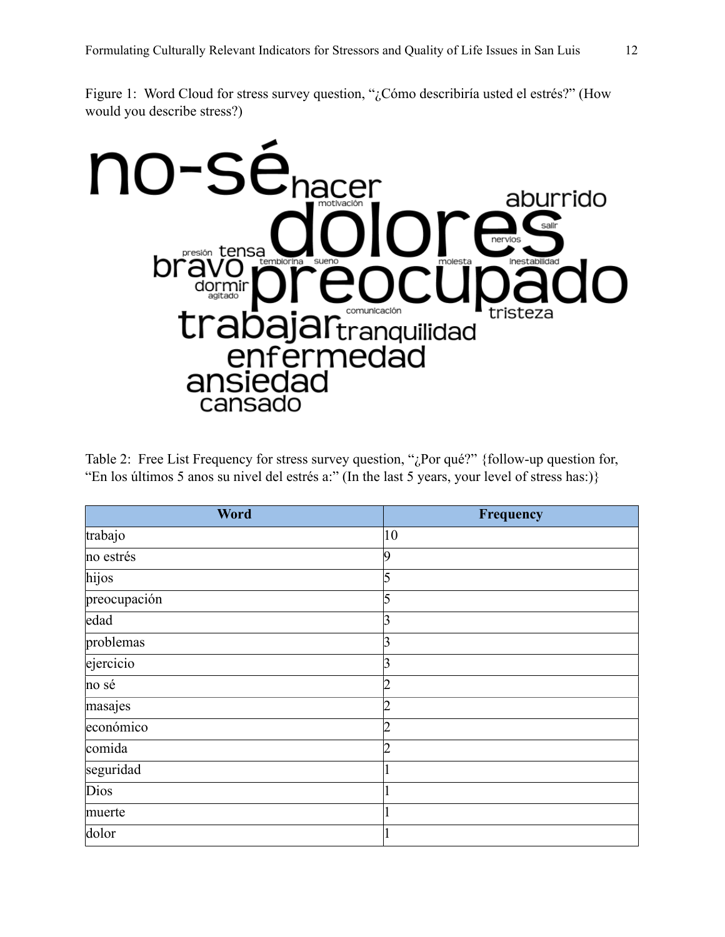Figure 1: Word Cloud for stress survey question, "¿Cómo describiría usted el estrés?" (How would you describe stress?)



Table 2: Free List Frequency for stress survey question, "¿Por qué?" {follow-up question for, "En los últimos 5 anos su nivel del estrés a:" (In the last 5 years, your level of stress has:)}

| <b>Word</b>  | Frequency |
|--------------|-----------|
| trabajo      | 10        |
| no estrés    | q         |
| hijos        | 5         |
| preocupación |           |
| edad         | 3         |
| problemas    | 3         |
| ejercicio    | 3         |
| no sé        | ŋ         |
| masajes      | 2         |
| económico    | າ         |
| comida       | ŋ         |
| seguridad    |           |
| Dios         |           |
| muerte       |           |
| dolor        |           |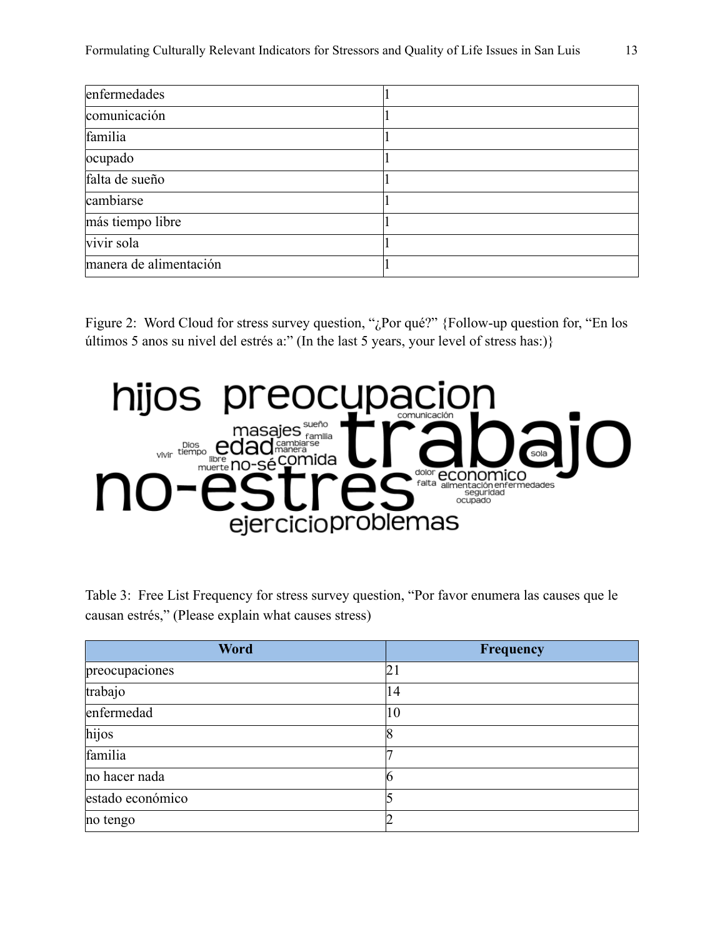| enfermedades           |  |
|------------------------|--|
| comunicación           |  |
| familia                |  |
| ocupado                |  |
| falta de sueño         |  |
| cambiarse              |  |
| más tiempo libre       |  |
| vivir sola             |  |
| manera de alimentación |  |

Figure 2: Word Cloud for stress survey question, "¿Por qué?" {Follow-up question for, "En los últimos 5 anos su nivel del estrés a:" (In the last 5 years, your level of stress has:)}



Table 3: Free List Frequency for stress survey question, "Por favor enumera las causes que le causan estrés," (Please explain what causes stress)

| Word             | <b>Frequency</b> |
|------------------|------------------|
| preocupaciones   | 21               |
| trabajo          | 14               |
| enfermedad       | 10               |
| hijos            |                  |
| familia          |                  |
| no hacer nada    |                  |
| estado económico |                  |
| no tengo         |                  |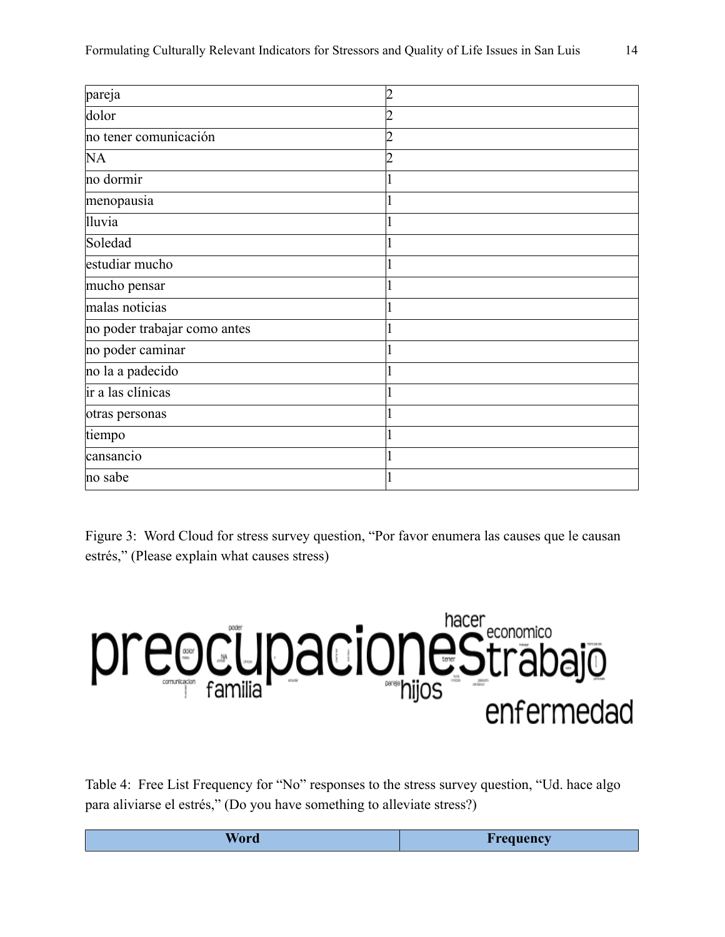| pareja                       | າ |
|------------------------------|---|
| dolor                        |   |
| no tener comunicación        |   |
| <b>NA</b>                    |   |
| no dormir                    |   |
| menopausia                   |   |
| <b>Iluvia</b>                |   |
| Soledad                      |   |
| estudiar mucho               |   |
| mucho pensar                 |   |
| malas noticias               |   |
| no poder trabajar como antes |   |
| no poder caminar             |   |
| no la a padecido             |   |
| ir a las clínicas            |   |
| otras personas               |   |
| tiempo                       |   |
| cansancio                    |   |
| no sabe                      |   |

Figure 3: Word Cloud for stress survey question, "Por favor enumera las causes que le causan estrés," (Please explain what causes stress)



Table 4: Free List Frequency for "No" responses to the stress survey question, "Ud. hace algo para aliviarse el estrés," (Do you have something to alleviate stress?)

| _ |
|---|
|---|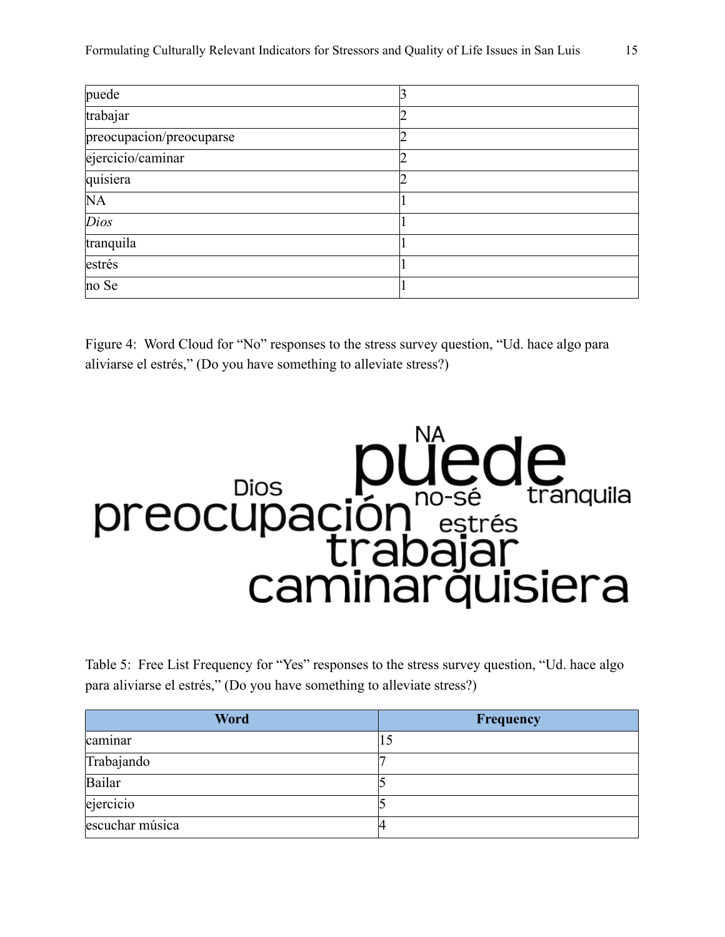| puede                    |  |
|--------------------------|--|
| trabajar                 |  |
| preocupacion/preocuparse |  |
| ejercicio/caminar        |  |
| quisiera                 |  |
| NA                       |  |
| Dios                     |  |
| tranquila                |  |
| estrés                   |  |
| no Se                    |  |

Figure 4: Word Cloud for "No" responses to the stress survey question, "Ud. hace algo para aliviarse el estrés," (Do you have something to alleviate stress?)



Table 5: Free List Frequency for "Yes" responses to the stress survey question, "Ud. hace algo para aliviarse el estrés," (Do you have something to alleviate stress?)

| <b>Word</b>     | <b>Frequency</b> |
|-----------------|------------------|
| caminar         | 10               |
| Trabajando      |                  |
| Bailar          |                  |
| ejercicio       |                  |
| escuchar música |                  |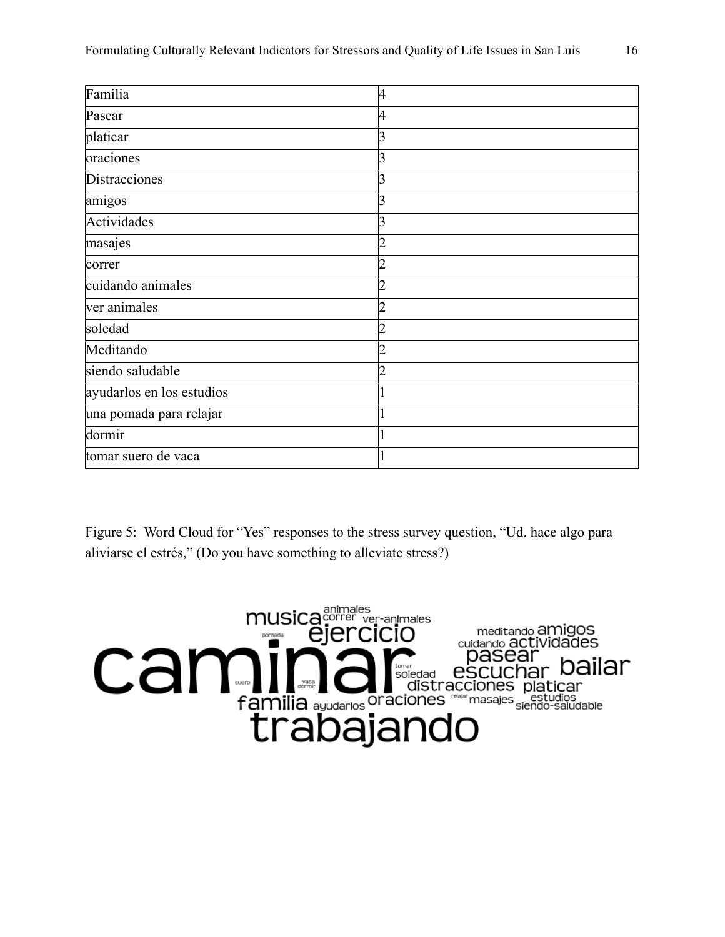| Familia                   | 4 |
|---------------------------|---|
| Pasear                    | 4 |
| platicar                  | 3 |
| oraciones                 | 3 |
| Distracciones             | 3 |
| amigos                    | 3 |
| Actividades               | 3 |
| masajes                   |   |
| correr                    |   |
| cuidando animales         |   |
| ver animales              | າ |
| soledad                   |   |
| Meditando                 | ว |
| siendo saludable          | າ |
| ayudarlos en los estudios |   |
| una pomada para relajar   |   |
| dormir                    |   |
| tomar suero de vaca       |   |

Figure 5: Word Cloud for "Yes" responses to the stress survey question, "Ud. hace algo para aliviarse el estrés," (Do you have something to alleviate stress?)

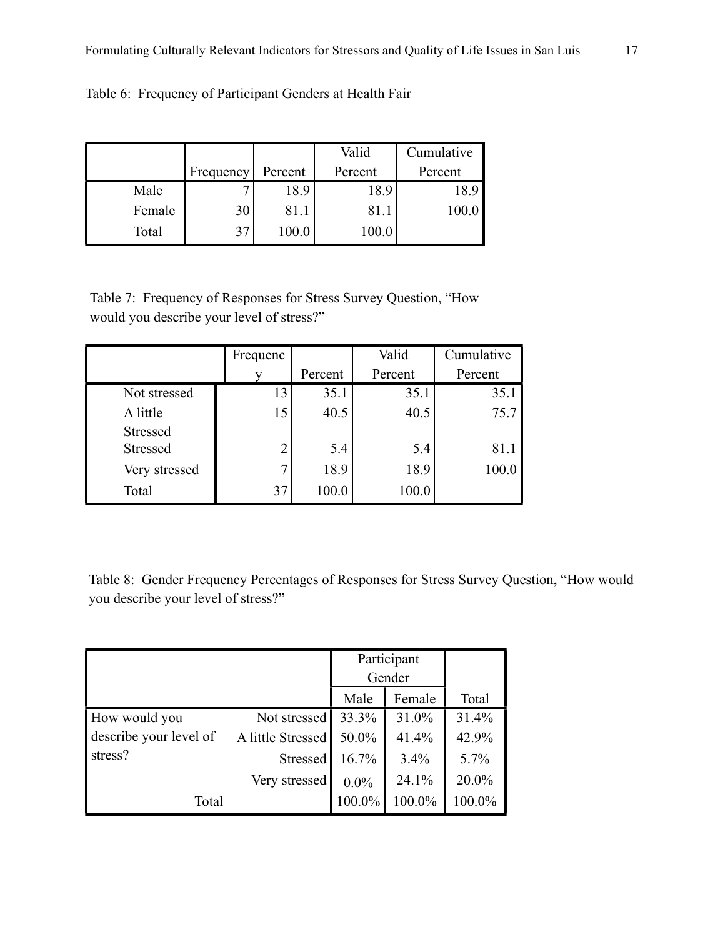|        |           |         | Valid   | Cumulative |
|--------|-----------|---------|---------|------------|
|        | Frequency | Percent | Percent | Percent    |
| Male   |           | 18.9    | 18.9    | 18.9       |
| Female | 30        | 81.1    | 81.     |            |
| Total  |           | 0.00    | 100.0   |            |

Table 6: Frequency of Participant Genders at Health Fair

Table 7: Frequency of Responses for Stress Survey Question, "How would you describe your level of stress?"

|                                    | Frequenc       |         | Valid   | Cumulative |
|------------------------------------|----------------|---------|---------|------------|
|                                    |                | Percent | Percent | Percent    |
| Not stressed                       | 13             | 35.1    | 35.1    | 35.1       |
| A little                           | 15             | 40.5    | 40.5    | 75.7       |
| <b>Stressed</b><br><b>Stressed</b> | $\overline{2}$ | 5.4     | 5.4     | 81.1       |
| Very stressed                      | 7              | 18.9    | 18.9    | 100.0      |
| Total                              | 37             | 100.0   | 100.0   |            |

Table 8: Gender Frequency Percentages of Responses for Stress Survey Question, "How would you describe your level of stress?"

|                        |                   | Participant |         |         |
|------------------------|-------------------|-------------|---------|---------|
|                        |                   | Gender      |         |         |
|                        |                   | Male        | Female  | Total   |
| How would you          | Not stressed      | 33.3%       | 31.0%   | 31.4%   |
| describe your level of | A little Stressed | 50.0%       | 41.4%   | 42.9%   |
| stress?                | Stressed          | 16.7%       | $3.4\%$ | $5.7\%$ |
|                        | Very stressed     | $0.0\%$     | 24.1%   | 20.0%   |
| Total                  |                   | 100.0%      | 100.0%  | 100.0%  |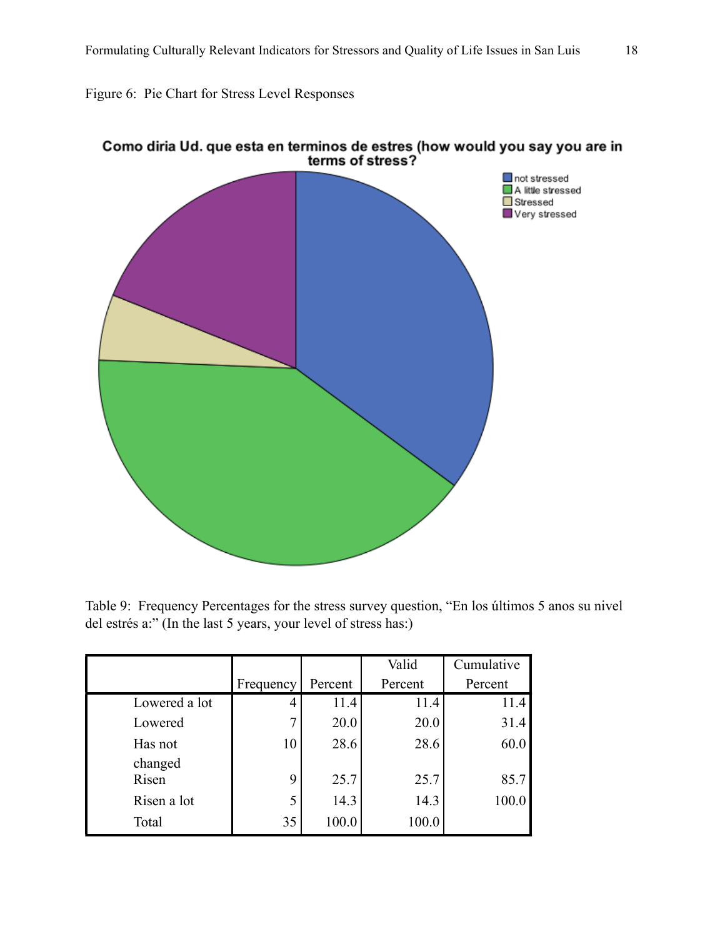Figure 6: Pie Chart for Stress Level Responses



Como diria Ud. que esta en terminos de estres (how would you say you are in<br>terms of stress?

Table 9: Frequency Percentages for the stress survey question, "En los últimos 5 anos su nivel del estrés a:" (In the last 5 years, your level of stress has:)

|                  |              |         | Valid   | Cumulative |  |
|------------------|--------------|---------|---------|------------|--|
|                  | Frequency    | Percent | Percent | Percent    |  |
| Lowered a lot    |              | 11.4    | 11.4    | 11.4       |  |
| Lowered          | $\mathbf{r}$ | 20.0    | 20.0    | 31.4       |  |
| Has not          | 10           | 28.6    | 28.6    | 60.0       |  |
| changed<br>Risen | 9            | 25.7    | 25.7    | 85.7       |  |
| Risen a lot      | 5            | 14.3    | 14.3    | 100.0      |  |
| Total            | 35           | 100.0   | 100.0   |            |  |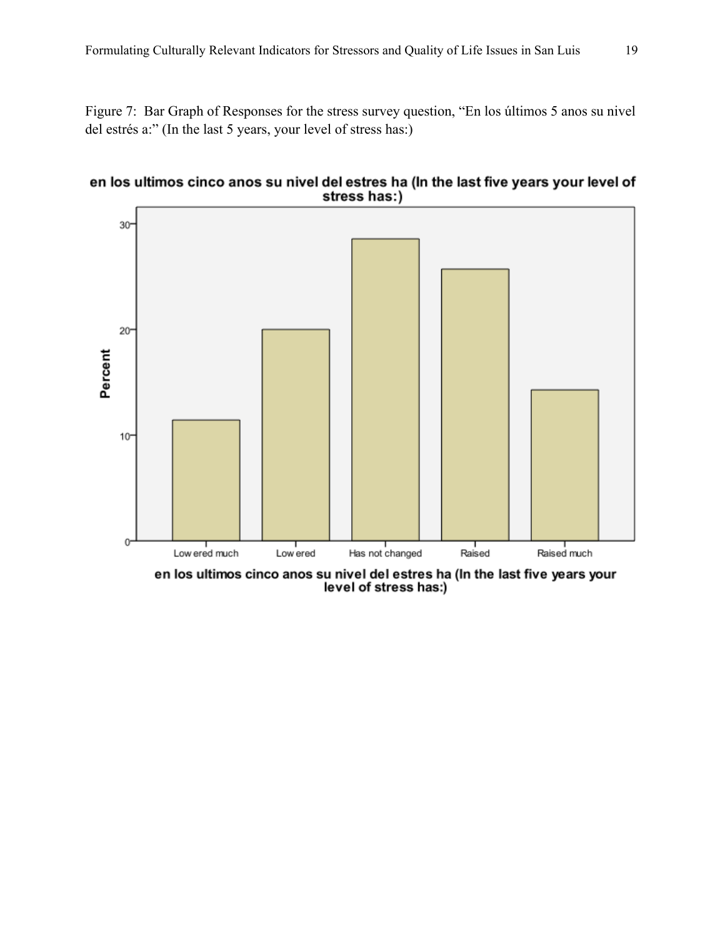Figure 7: Bar Graph of Responses for the stress survey question, "En los últimos 5 anos su nivel del estrés a:" (In the last 5 years, your level of stress has:)





en los ultimos cinco anos su nivel del estres ha (In the last five years your<br>level of stress has:)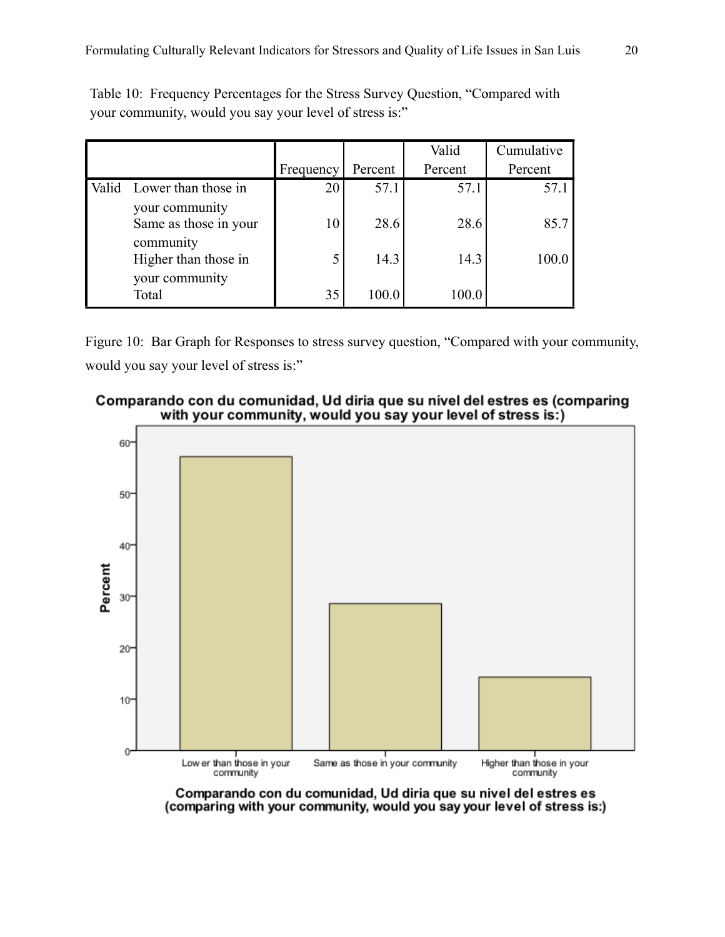|                                                     |           |         | Valid   | Cumulative |
|-----------------------------------------------------|-----------|---------|---------|------------|
|                                                     | Frequency | Percent | Percent | Percent    |
| Valid Lower than those in                           | 20        | 57.1    | 57.1    | 57.1       |
| your community<br>Same as those in your             | 10        | 28.6    | 28.6    | 85.7       |
| community<br>Higher than those in<br>your community | 5         | 14.3    | 14.3    | 100.0      |
| Total                                               | 35        | 100.0   | 100.0   |            |

Table 10: Frequency Percentages for the Stress Survey Question, "Compared with your community, would you say your level of stress is:"

Figure 10: Bar Graph for Responses to stress survey question, "Compared with your community, would you say your level of stress is:"





Comparando con du comunidad, Ud diria que su nivel del estres es (comparing with your community, would you say your level of stress is:)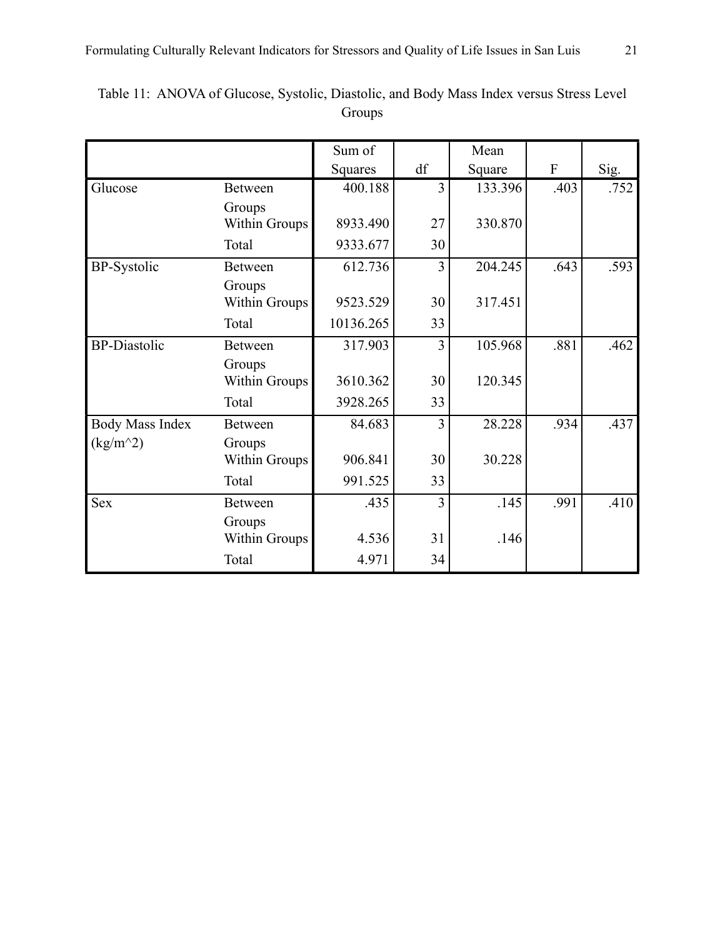|                        |                      | Sum of    |                | Mean    |      |      |
|------------------------|----------------------|-----------|----------------|---------|------|------|
|                        |                      | Squares   | df             | Square  | F    | Sig. |
| Glucose                | <b>Between</b>       | 400.188   | 3              | 133.396 | .403 | .752 |
|                        | Groups               |           |                |         |      |      |
|                        | <b>Within Groups</b> | 8933.490  | 27             | 330.870 |      |      |
|                        | Total                | 9333.677  | 30             |         |      |      |
| <b>BP-Systolic</b>     | <b>Between</b>       | 612.736   | 3              | 204.245 | .643 | .593 |
|                        | Groups               |           |                |         |      |      |
|                        | Within Groups        | 9523.529  | 30             | 317.451 |      |      |
|                        | Total                | 10136.265 | 33             |         |      |      |
| <b>BP-Diastolic</b>    | <b>Between</b>       | 317.903   | $\overline{3}$ | 105.968 | .881 | .462 |
|                        | Groups               |           |                |         |      |      |
|                        | Within Groups        | 3610.362  | 30             | 120.345 |      |      |
|                        | Total                | 3928.265  | 33             |         |      |      |
| <b>Body Mass Index</b> | <b>Between</b>       | 84.683    | 3              | 28.228  | .934 | .437 |
| $(kg/m^2)$             | Groups               |           |                |         |      |      |
|                        | <b>Within Groups</b> | 906.841   | 30             | 30.228  |      |      |
|                        | Total                | 991.525   | 33             |         |      |      |
| <b>Sex</b>             | <b>Between</b>       | .435      | 3              | .145    | .991 | .410 |
|                        | Groups               |           |                |         |      |      |
|                        | <b>Within Groups</b> | 4.536     | 31             | .146    |      |      |
|                        | Total                | 4.971     | 34             |         |      |      |

Table 11: ANOVA of Glucose, Systolic, Diastolic, and Body Mass Index versus Stress Level Groups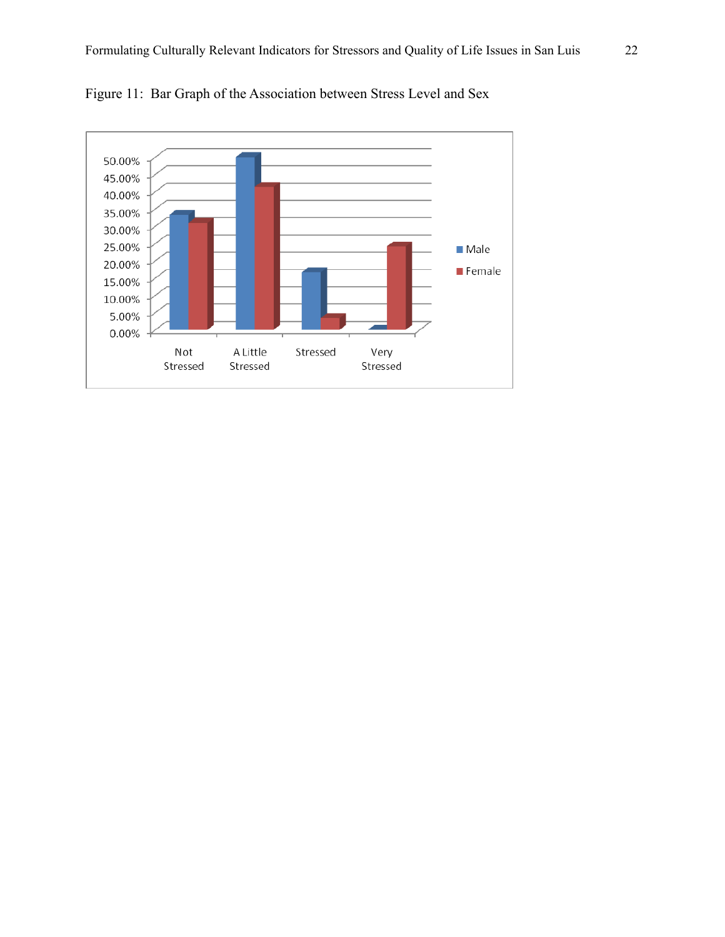

Figure 11: Bar Graph of the Association between Stress Level and Sex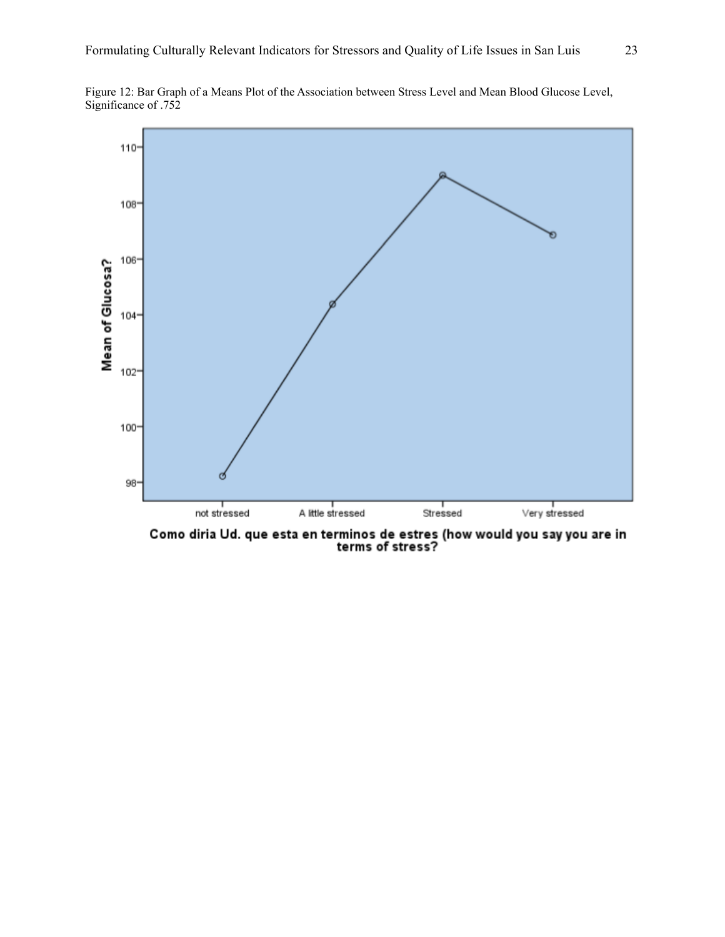

Figure 12: Bar Graph of a Means Plot of the Association between Stress Level and Mean Blood Glucose Level, Significance of .752

Como diria Ud. que esta en terminos de estres (how would you say you are in<br>terms of stress?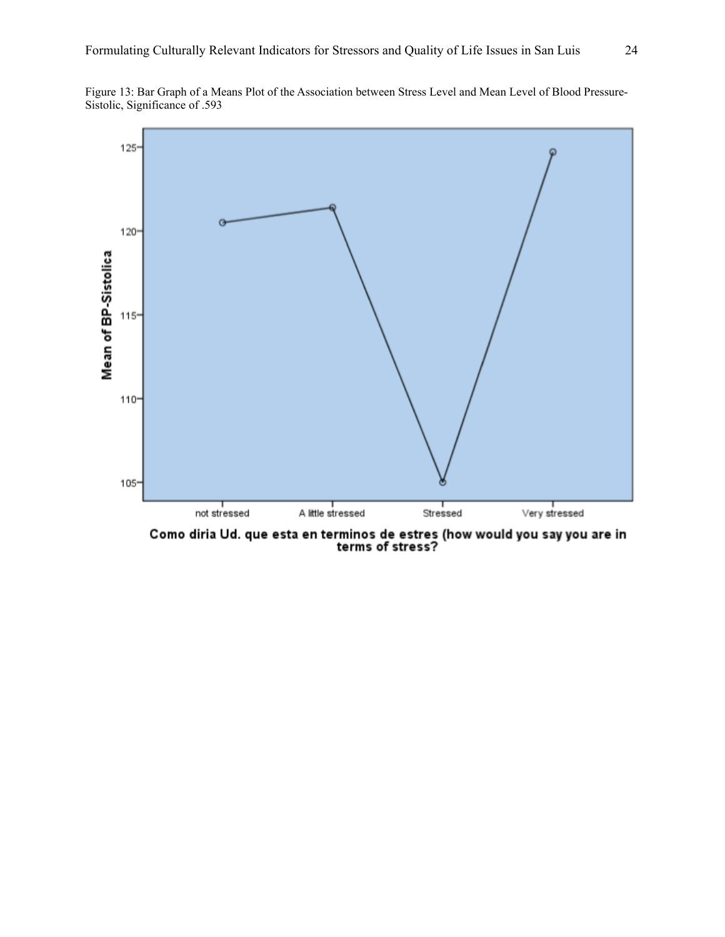



Como diria Ud. que esta en terminos de estres (how would you say you are in<br>terms of stress?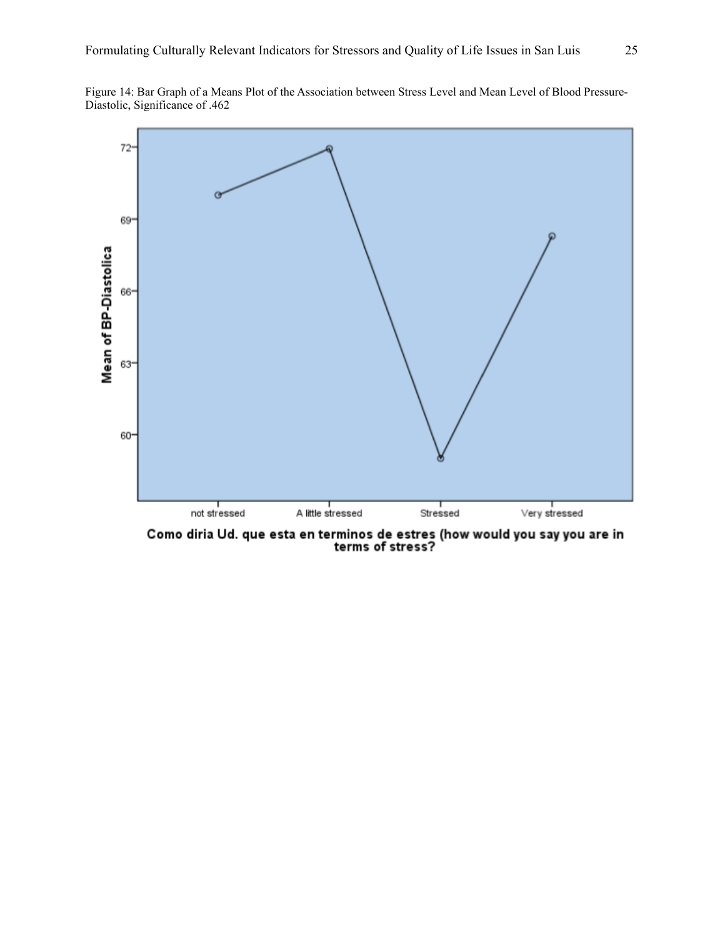Figure 14: Bar Graph of a Means Plot of the Association between Stress Level and Mean Level of Blood Pressure-Diastolic, Significance of .462



Como diria Ud. que esta en terminos de estres (how would you say you are in<br>terms of stress?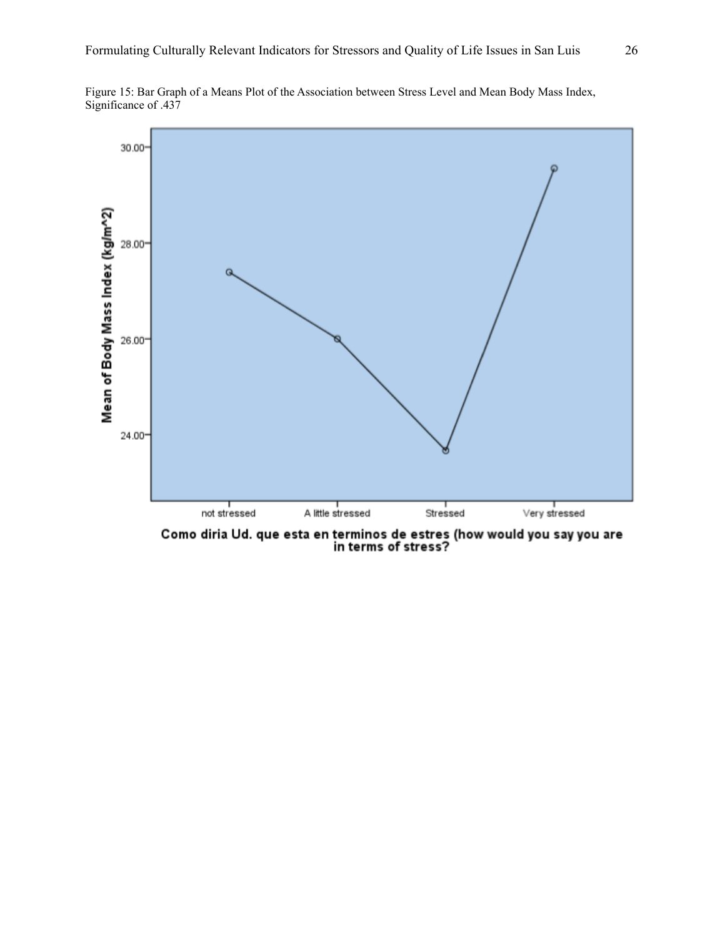

Figure 15: Bar Graph of a Means Plot of the Association between Stress Level and Mean Body Mass Index, Significance of .437

Como diria Ud. que esta en terminos de estres (how would you say you are<br>in terms of stress?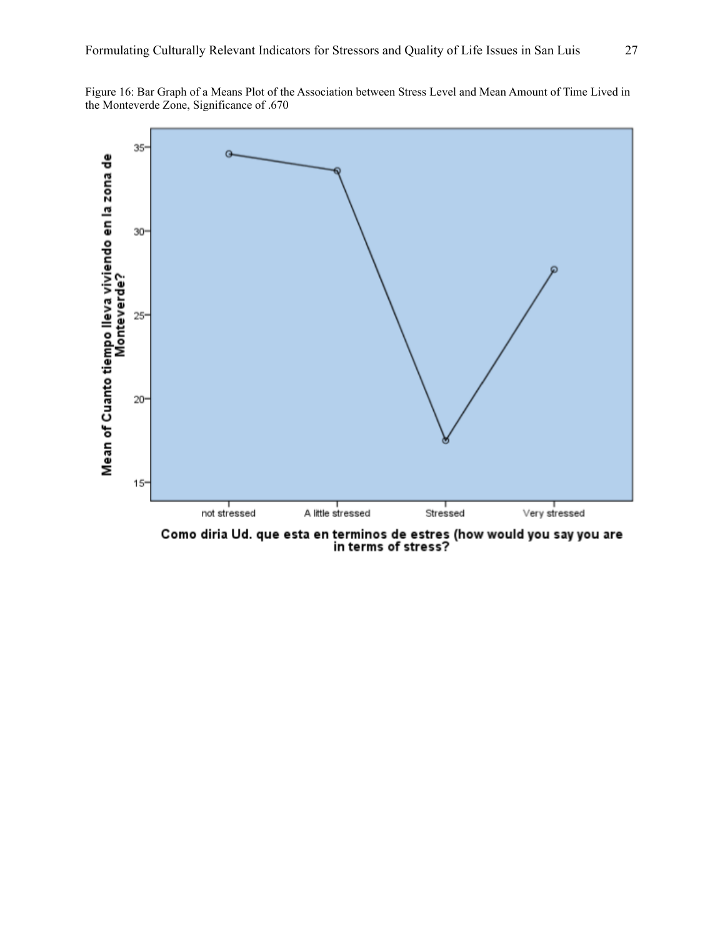Figure 16: Bar Graph of a Means Plot of the Association between Stress Level and Mean Amount of Time Lived in the Monteverde Zone, Significance of .670



Como diria Ud. que esta en terminos de estres (how would you say you are<br>in terms of stress?